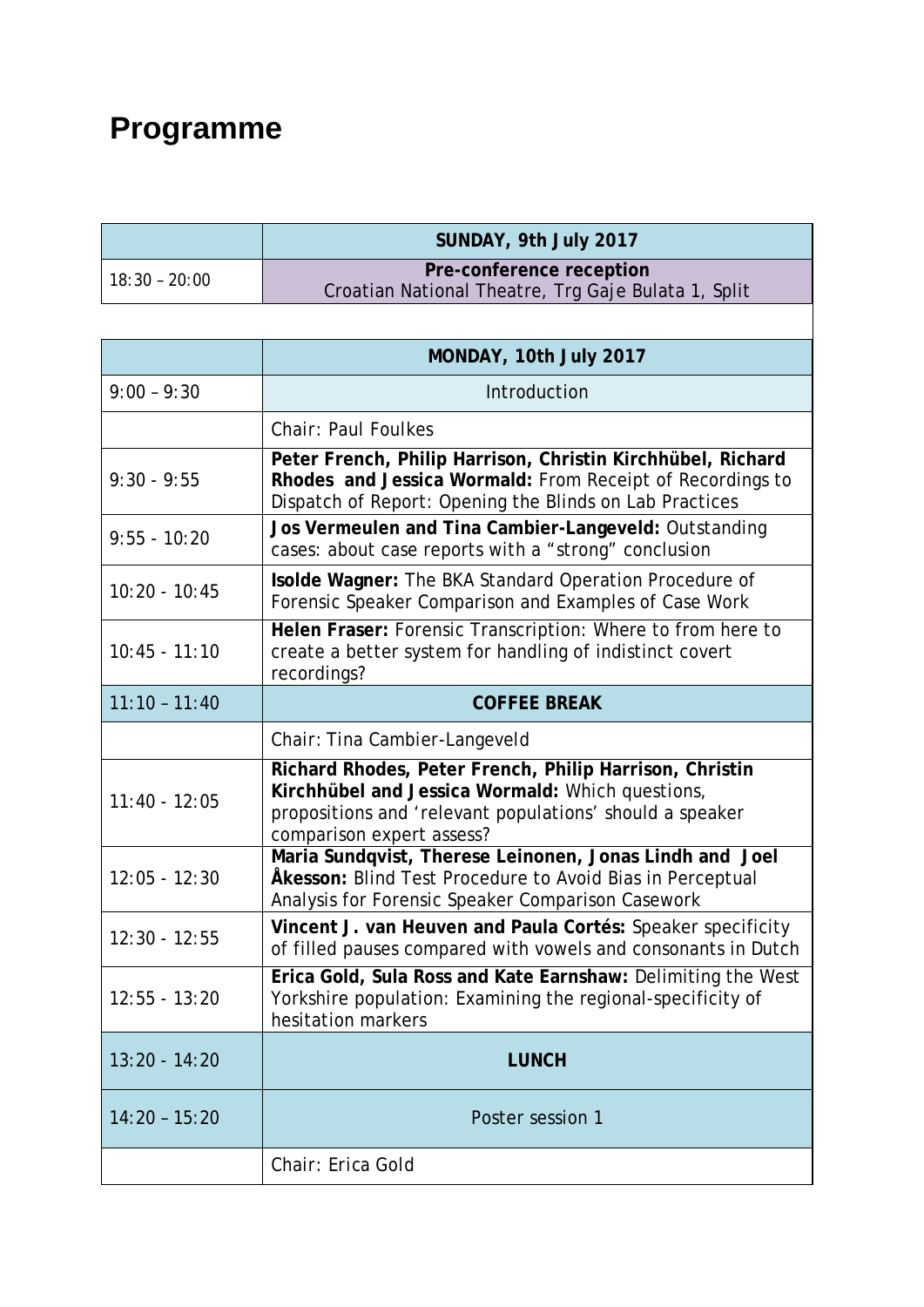## **Programme**

|               | SUNDAY, 9th July 2017                               |  |
|---------------|-----------------------------------------------------|--|
| 18:30 - 20:00 | Pre-conference reception                            |  |
|               | Croatian National Theatre, Trg Gaje Bulata 1, Split |  |

|                 | MONDAY, 10th July 2017                                                                                                                                                                               |  |
|-----------------|------------------------------------------------------------------------------------------------------------------------------------------------------------------------------------------------------|--|
| $9:00 - 9:30$   | Introduction                                                                                                                                                                                         |  |
|                 | <b>Chair: Paul Foulkes</b>                                                                                                                                                                           |  |
| $9:30 - 9:55$   | Peter French, Philip Harrison, Christin Kirchhübel, Richard<br>Rhodes and Jessica Wormald: From Receipt of Recordings to<br>Dispatch of Report: Opening the Blinds on Lab Practices                  |  |
| $9:55 - 10:20$  | Jos Vermeulen and Tina Cambier-Langeveld: Outstanding<br>cases: about case reports with a "strong" conclusion                                                                                        |  |
| $10:20 - 10:45$ | Isolde Wagner: The BKA Standard Operation Procedure of<br>Forensic Speaker Comparison and Examples of Case Work                                                                                      |  |
| $10:45 - 11:10$ | Helen Fraser: Forensic Transcription: Where to from here to<br>create a better system for handling of indistinct covert<br>recordings?                                                               |  |
| $11:10 - 11:40$ | <b>COFFEE BREAK</b>                                                                                                                                                                                  |  |
|                 | Chair: Tina Cambier-Langeveld                                                                                                                                                                        |  |
| $11:40 - 12:05$ | Richard Rhodes, Peter French, Philip Harrison, Christin<br>Kirchhübel and Jessica Wormald: Which questions,<br>propositions and 'relevant populations' should a speaker<br>comparison expert assess? |  |
| $12:05 - 12:30$ | Maria Sundqvist, Therese Leinonen, Jonas Lindh and Joel<br>Åkesson: Blind Test Procedure to Avoid Bias in Perceptual<br>Analysis for Forensic Speaker Comparison Casework                            |  |
| $12:30 - 12:55$ | Vincent J. van Heuven and Paula Cortés: Speaker specificity<br>of filled pauses compared with vowels and consonants in Dutch                                                                         |  |
| $12:55 - 13:20$ | Erica Gold, Sula Ross and Kate Earnshaw: Delimiting the West<br>Yorkshire population: Examining the regional-specificity of<br>hesitation markers                                                    |  |
| $13:20 - 14:20$ | <b>LUNCH</b>                                                                                                                                                                                         |  |
| $14:20 - 15:20$ | Poster session 1                                                                                                                                                                                     |  |
|                 | Chair: Erica Gold                                                                                                                                                                                    |  |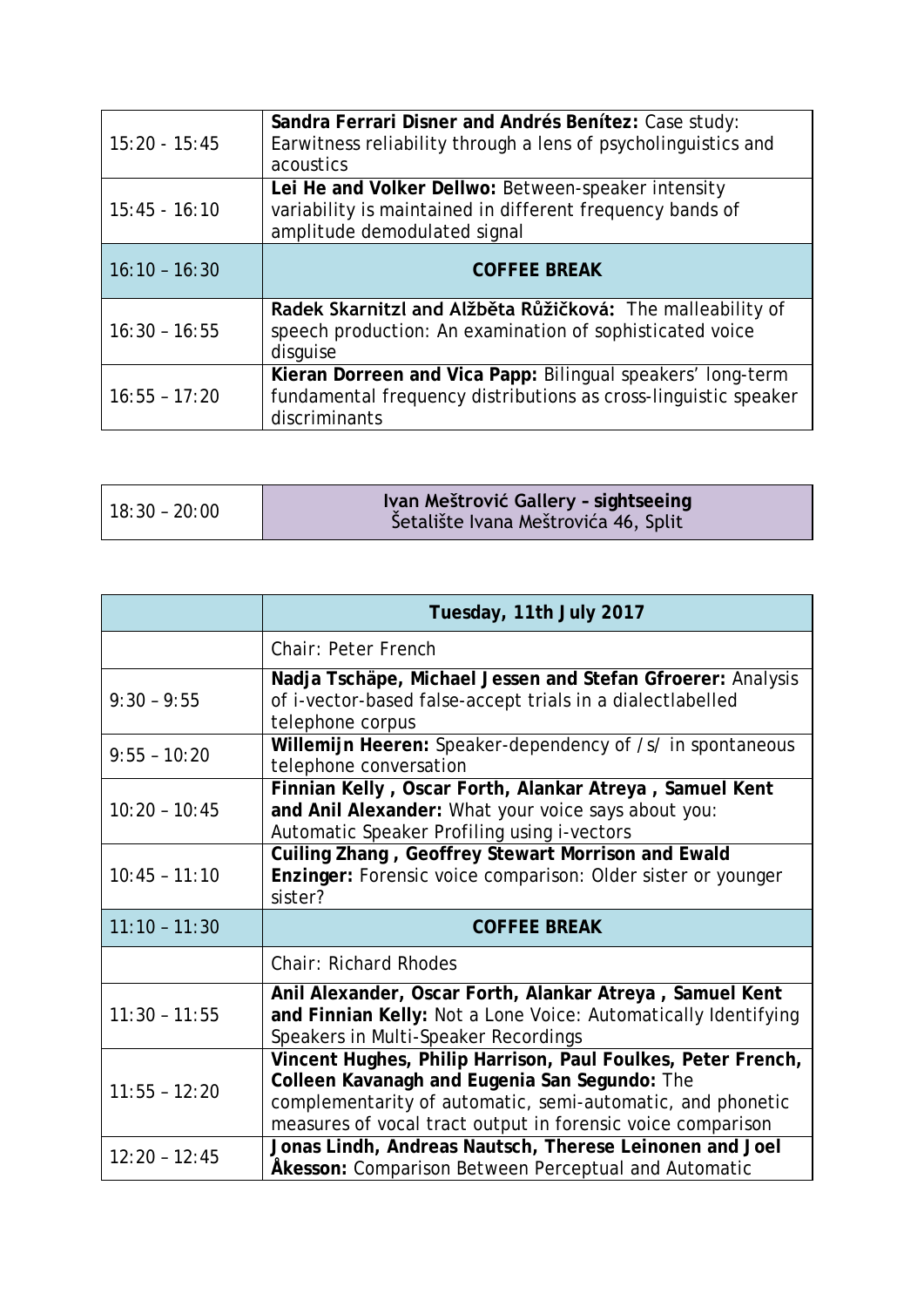| $15:20 - 15:45$ | Sandra Ferrari Disner and Andrés Benítez: Case study:<br>Earwitness reliability through a lens of psycholinguistics and<br>acoustics             |
|-----------------|--------------------------------------------------------------------------------------------------------------------------------------------------|
| $15:45 - 16:10$ | Lei He and Volker Dellwo: Between-speaker intensity<br>variability is maintained in different frequency bands of<br>amplitude demodulated signal |
| $16:10 - 16:30$ | <b>COFFEE BREAK</b>                                                                                                                              |
| $16:30 - 16:55$ | Radek Skarnitzl and Alžběta Růžičková: The malleability of<br>speech production: An examination of sophisticated voice<br>disquise               |
| $16:55 - 17:20$ | Kieran Dorreen and Vica Papp: Bilingual speakers' long-term<br>fundamental frequency distributions as cross-linguistic speaker<br>discriminants  |

|                 | Tuesday, 11th July 2017                                                                                                                                                                                                                    |  |
|-----------------|--------------------------------------------------------------------------------------------------------------------------------------------------------------------------------------------------------------------------------------------|--|
|                 | Chair: Peter French                                                                                                                                                                                                                        |  |
| $9:30 - 9:55$   | Nadja Tschäpe, Michael Jessen and Stefan Gfroerer: Analysis<br>of i-vector-based false-accept trials in a dialectlabelled<br>telephone corpus                                                                                              |  |
| $9:55 - 10:20$  | Willemijn Heeren: Speaker-dependency of /s/ in spontaneous<br>telephone conversation                                                                                                                                                       |  |
| $10:20 - 10:45$ | Finnian Kelly, Oscar Forth, Alankar Atreya, Samuel Kent<br>and Anil Alexander: What your voice says about you:<br>Automatic Speaker Profiling using i-vectors                                                                              |  |
| $10:45 - 11:10$ | Cuiling Zhang, Geoffrey Stewart Morrison and Ewald<br>Enzinger: Forensic voice comparison: Older sister or younger<br>sister?                                                                                                              |  |
| $11:10 - 11:30$ | <b>COFFEE BREAK</b>                                                                                                                                                                                                                        |  |
|                 | <b>Chair: Richard Rhodes</b>                                                                                                                                                                                                               |  |
| $11:30 - 11:55$ | Anil Alexander, Oscar Forth, Alankar Atreya, Samuel Kent<br>and Finnian Kelly: Not a Lone Voice: Automatically Identifying<br>Speakers in Multi-Speaker Recordings                                                                         |  |
| $11:55 - 12:20$ | Vincent Hughes, Philip Harrison, Paul Foulkes, Peter French,<br>Colleen Kavanagh and Eugenia San Segundo: The<br>complementarity of automatic, semi-automatic, and phonetic<br>measures of vocal tract output in forensic voice comparison |  |
| $12:20 - 12:45$ | Jonas Lindh, Andreas Nautsch, Therese Leinonen and Joel<br>Akesson: Comparison Between Perceptual and Automatic                                                                                                                            |  |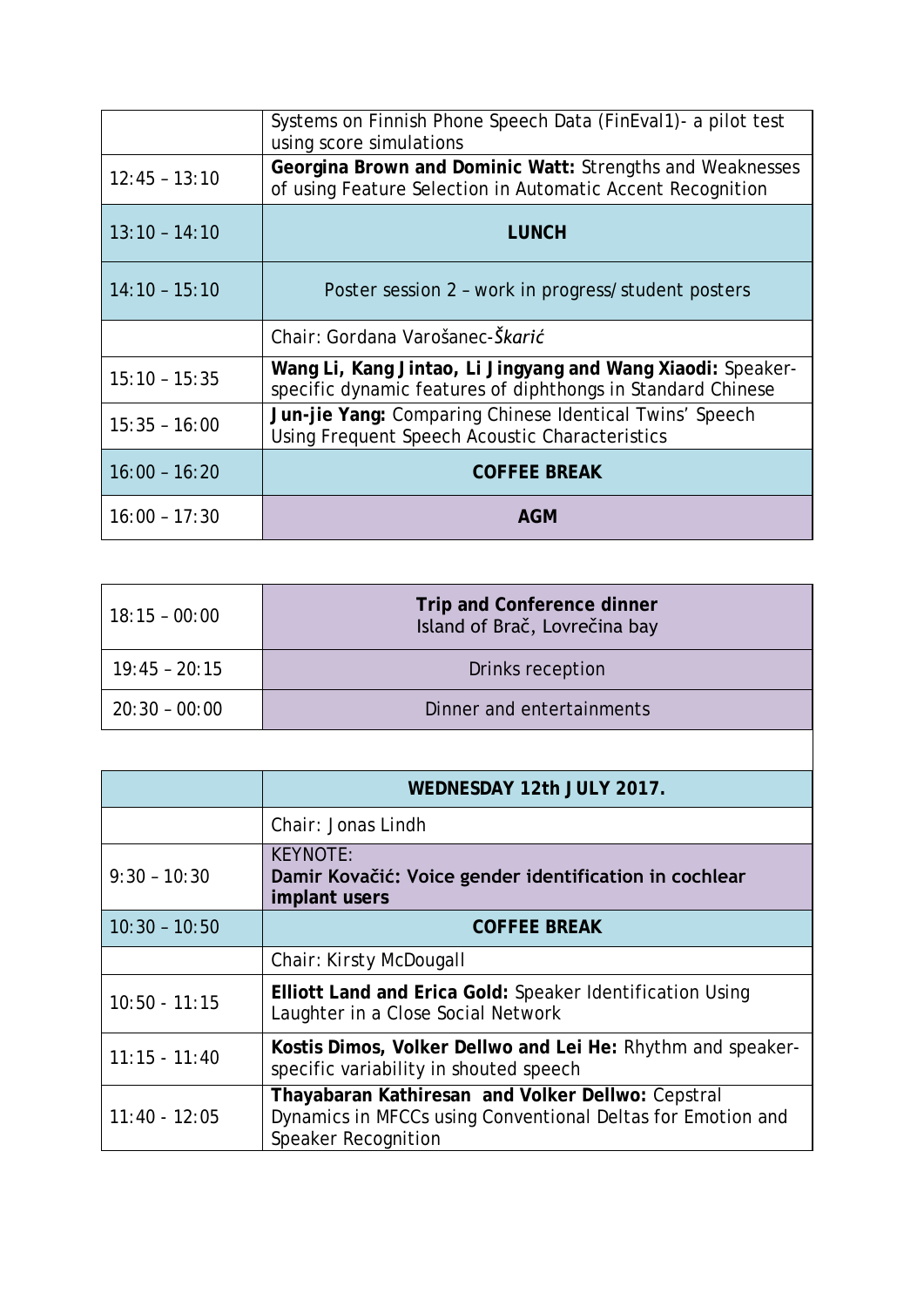|                 | Systems on Finnish Phone Speech Data (FinEval1) - a pilot test<br>using score simulations                                  |
|-----------------|----------------------------------------------------------------------------------------------------------------------------|
| $12:45 - 13:10$ | Georgina Brown and Dominic Watt: Strengths and Weaknesses<br>of using Feature Selection in Automatic Accent Recognition    |
| $13:10 - 14:10$ | <b>LUNCH</b>                                                                                                               |
| $14:10 - 15:10$ | Poster session 2 - work in progress/student posters                                                                        |
|                 | Chair: Gordana Varošanec-Škarić                                                                                            |
| $15:10 - 15:35$ | Wang Li, Kang Jintao, Li Jingyang and Wang Xiaodi: Speaker-<br>specific dynamic features of diphthongs in Standard Chinese |
| $15:35 - 16:00$ | Jun-jie Yang: Comparing Chinese Identical Twins' Speech<br>Using Frequent Speech Acoustic Characteristics                  |
| $16:00 - 16:20$ | <b>COFFEE BREAK</b>                                                                                                        |
| $16:00 - 17:30$ | <b>AGM</b>                                                                                                                 |

| $18:15 - 00:00$ | <b>Trip and Conference dinner</b><br>Island of Brač, Lovrečina bay |  |
|-----------------|--------------------------------------------------------------------|--|
| $19:45 - 20:15$ | Drinks reception                                                   |  |
| $20:30 - 00:00$ | Dinner and entertainments                                          |  |

|                 | WEDNESDAY 12th JULY 2017.                                                                                                                      |  |
|-----------------|------------------------------------------------------------------------------------------------------------------------------------------------|--|
|                 | Chair: Jonas Lindh                                                                                                                             |  |
| $9:30 - 10:30$  | <b>KEYNOTE:</b><br>Damir Kovačić: Voice gender identification in cochlear<br>implant users                                                     |  |
| $10:30 - 10:50$ | <b>COFFEE BREAK</b>                                                                                                                            |  |
|                 | Chair: Kirsty McDougall                                                                                                                        |  |
| $10:50 - 11:15$ | Elliott Land and Erica Gold: Speaker Identification Using<br>Laughter in a Close Social Network                                                |  |
| $11:15 - 11:40$ | Kostis Dimos, Volker Dellwo and Lei He: Rhythm and speaker-<br>specific variability in shouted speech                                          |  |
| $11:40 - 12:05$ | Thayabaran Kathiresan and Volker Dellwo: Cepstral<br>Dynamics in MFCCs using Conventional Deltas for Emotion and<br><b>Speaker Recognition</b> |  |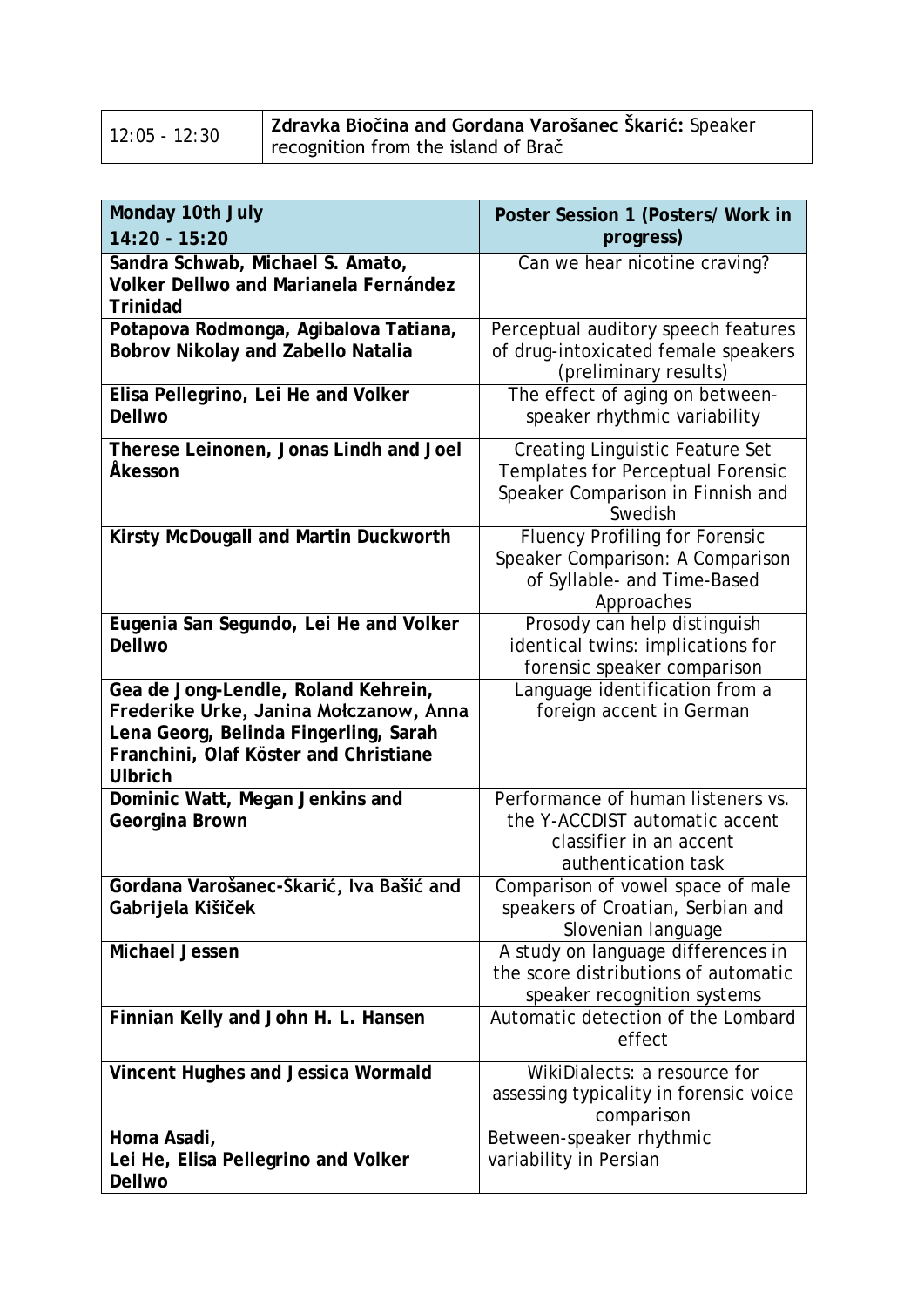| $12:05 - 12:30$ | Zdravka Biočina and Gordana Varošanec Škarić: Speaker |
|-----------------|-------------------------------------------------------|
|                 | recognition from the island of Brač                   |

| Monday 10th July                                                                                                                                                                  | Poster Session 1 (Posters/ Work in                                                                                          |  |
|-----------------------------------------------------------------------------------------------------------------------------------------------------------------------------------|-----------------------------------------------------------------------------------------------------------------------------|--|
| $14:20 - 15:20$                                                                                                                                                                   | progress)                                                                                                                   |  |
| Sandra Schwab, Michael S. Amato,<br>Volker Dellwo and Marianela Fernández<br><b>Trinidad</b>                                                                                      | Can we hear nicotine craving?                                                                                               |  |
| Potapova Rodmonga, Agibalova Tatiana,<br><b>Bobrov Nikolay and Zabello Natalia</b>                                                                                                | Perceptual auditory speech features<br>of drug-intoxicated female speakers<br>(preliminary results)                         |  |
| Elisa Pellegrino, Lei He and Volker<br><b>Dellwo</b>                                                                                                                              | The effect of aging on between-<br>speaker rhythmic variability                                                             |  |
| Therese Leinonen, Jonas Lindh and Joel<br>Åkesson                                                                                                                                 | <b>Creating Linguistic Feature Set</b><br>Templates for Perceptual Forensic<br>Speaker Comparison in Finnish and<br>Swedish |  |
| Kirsty McDougall and Martin Duckworth                                                                                                                                             | <b>Fluency Profiling for Forensic</b><br>Speaker Comparison: A Comparison<br>of Syllable- and Time-Based<br>Approaches      |  |
| Eugenia San Segundo, Lei He and Volker<br><b>Dellwo</b>                                                                                                                           | Prosody can help distinguish<br>identical twins: implications for<br>forensic speaker comparison                            |  |
| Gea de Jong-Lendle, Roland Kehrein,<br>Frederike Urke, Janina Mołczanow, Anna<br>Lena Georg, Belinda Fingerling, Sarah<br>Franchini, Olaf Köster and Christiane<br><b>Ulbrich</b> | Language identification from a<br>foreign accent in German                                                                  |  |
| Dominic Watt, Megan Jenkins and<br>Georgina Brown                                                                                                                                 | Performance of human listeners vs.<br>the Y-ACCDIST automatic accent<br>classifier in an accent<br>authentication task      |  |
| Gordana Varošanec-Škarić, Iva Bašić and<br>Gabrijela Kišiček                                                                                                                      | Comparison of vowel space of male<br>speakers of Croatian, Serbian and<br>Slovenian language                                |  |
| <b>Michael Jessen</b>                                                                                                                                                             | A study on language differences in<br>the score distributions of automatic<br>speaker recognition systems                   |  |
| Finnian Kelly and John H. L. Hansen                                                                                                                                               | Automatic detection of the Lombard<br>effect                                                                                |  |
| Vincent Hughes and Jessica Wormald                                                                                                                                                | WikiDialects: a resource for<br>assessing typicality in forensic voice<br>comparison                                        |  |
| Homa Asadi,<br>Lei He, Elisa Pellegrino and Volker<br>Dellwo                                                                                                                      | Between-speaker rhythmic<br>variability in Persian                                                                          |  |